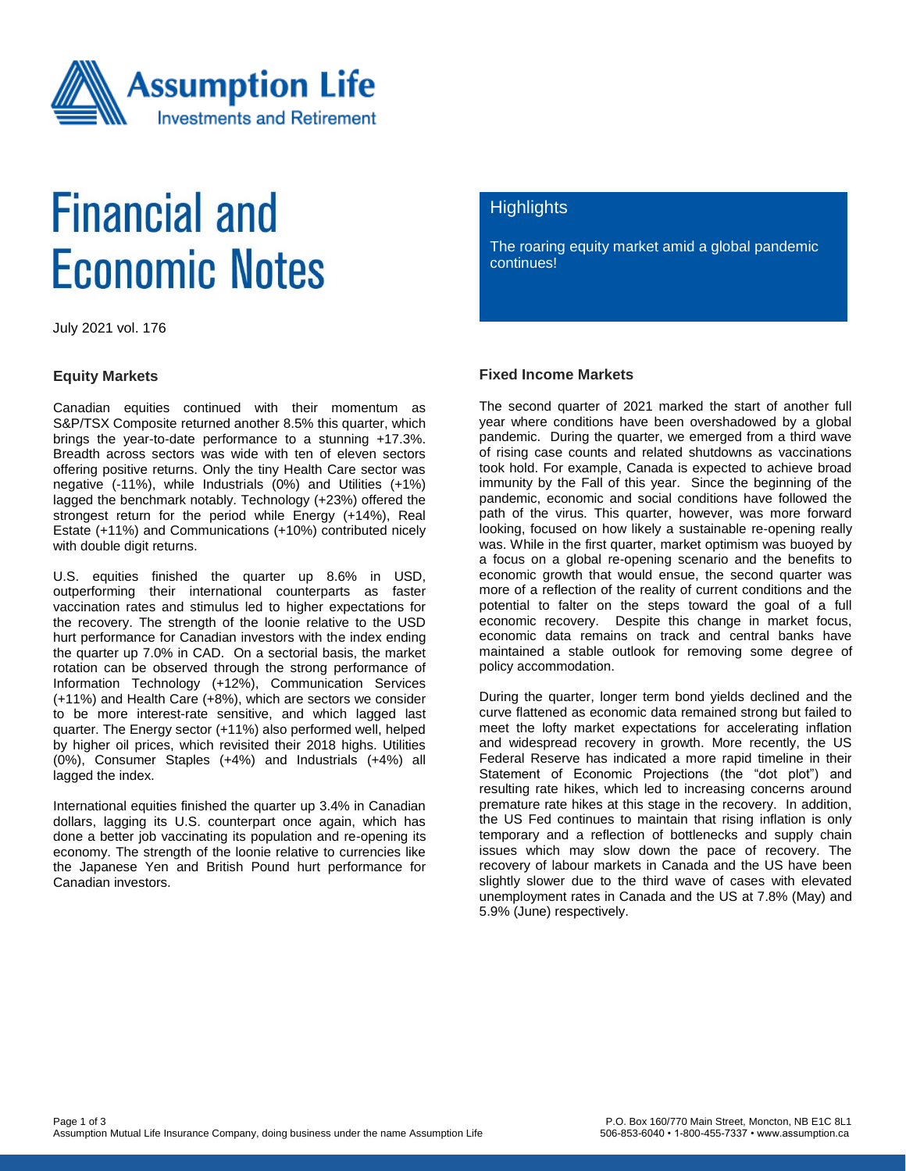

# **Financial and Economic Notes**

July 2021 vol. 176

#### **Equity Markets**

Canadian equities continued with their momentum as S&P/TSX Composite returned another 8.5% this quarter, which brings the year-to-date performance to a stunning +17.3%. Breadth across sectors was wide with ten of eleven sectors offering positive returns. Only the tiny Health Care sector was negative (-11%), while Industrials (0%) and Utilities (+1%) lagged the benchmark notably. Technology (+23%) offered the strongest return for the period while Energy (+14%), Real Estate (+11%) and Communications (+10%) contributed nicely with double digit returns.

U.S. equities finished the quarter up 8.6% in USD, outperforming their international counterparts as faster vaccination rates and stimulus led to higher expectations for the recovery. The strength of the loonie relative to the USD hurt performance for Canadian investors with the index ending the quarter up 7.0% in CAD. On a sectorial basis, the market rotation can be observed through the strong performance of Information Technology (+12%), Communication Services (+11%) and Health Care (+8%), which are sectors we consider to be more interest-rate sensitive, and which lagged last quarter. The Energy sector (+11%) also performed well, helped by higher oil prices, which revisited their 2018 highs. Utilities (0%), Consumer Staples (+4%) and Industrials (+4%) all lagged the index.

International equities finished the quarter up 3.4% in Canadian dollars, lagging its U.S. counterpart once again, which has done a better job vaccinating its population and re-opening its economy. The strength of the loonie relative to currencies like the Japanese Yen and British Pound hurt performance for Canadian investors.

### **Highlights**

The roaring equity market amid a global pandemic continues!

#### **Fixed Income Markets**

The second quarter of 2021 marked the start of another full year where conditions have been overshadowed by a global pandemic. During the quarter, we emerged from a third wave of rising case counts and related shutdowns as vaccinations took hold. For example, Canada is expected to achieve broad immunity by the Fall of this year. Since the beginning of the pandemic, economic and social conditions have followed the path of the virus. This quarter, however, was more forward looking, focused on how likely a sustainable re-opening really was. While in the first quarter, market optimism was buoyed by a focus on a global re-opening scenario and the benefits to economic growth that would ensue, the second quarter was more of a reflection of the reality of current conditions and the potential to falter on the steps toward the goal of a full economic recovery. Despite this change in market focus, economic data remains on track and central banks have maintained a stable outlook for removing some degree of policy accommodation.

During the quarter, longer term bond yields declined and the curve flattened as economic data remained strong but failed to meet the lofty market expectations for accelerating inflation and widespread recovery in growth. More recently, the US Federal Reserve has indicated a more rapid timeline in their Statement of Economic Projections (the "dot plot") and resulting rate hikes, which led to increasing concerns around premature rate hikes at this stage in the recovery. In addition, the US Fed continues to maintain that rising inflation is only temporary and a reflection of bottlenecks and supply chain issues which may slow down the pace of recovery. The recovery of labour markets in Canada and the US have been slightly slower due to the third wave of cases with elevated unemployment rates in Canada and the US at 7.8% (May) and 5.9% (June) respectively.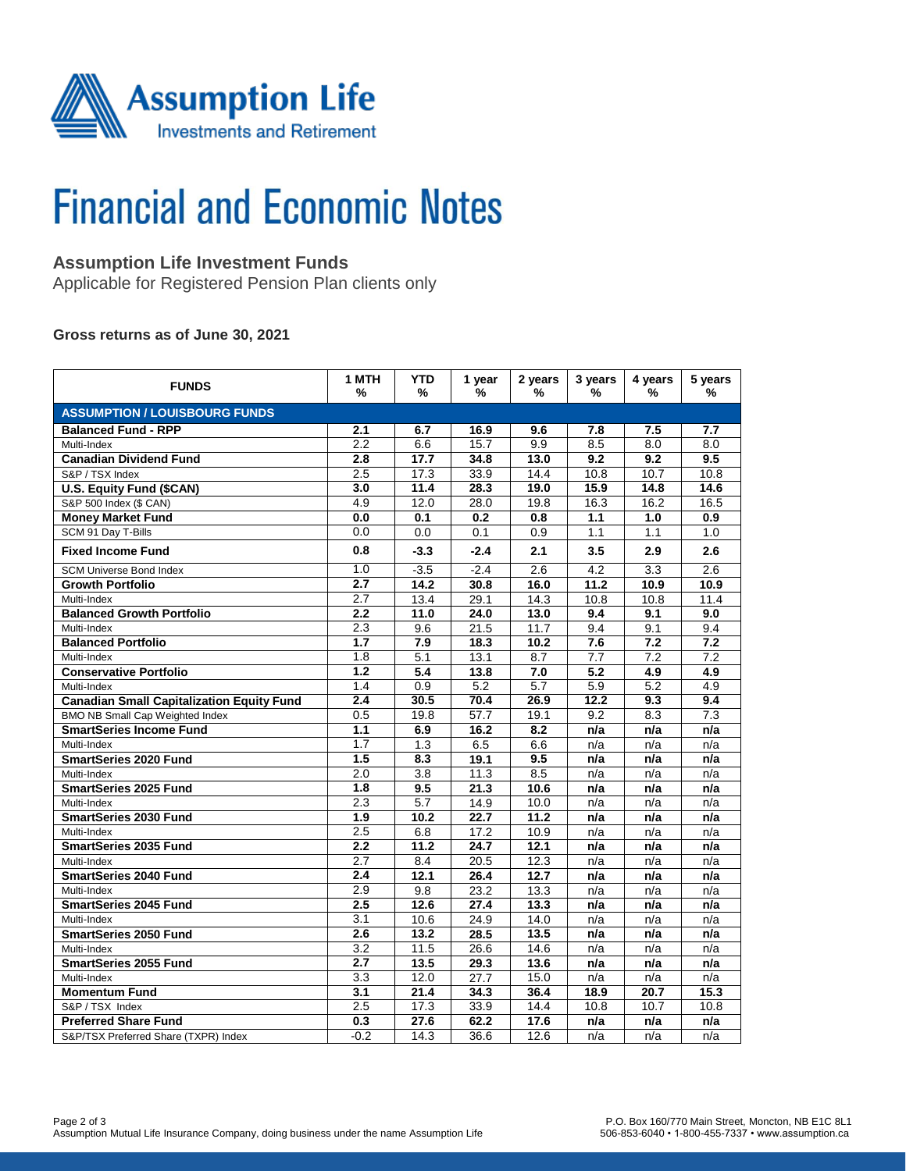

# **Financial and Economic Notes**

# **Assumption Life Investment Funds**

Applicable for Registered Pension Plan clients only

### **Gross returns as of June 30, 2021**

| <b>FUNDS</b>                                     | 1 MTH<br>%       | <b>YTD</b><br>%  | 1 year<br>% | 2 years<br>% | 3 years<br>% | 4 years<br>%     | 5 years<br>% |  |  |  |  |
|--------------------------------------------------|------------------|------------------|-------------|--------------|--------------|------------------|--------------|--|--|--|--|
| <b>ASSUMPTION / LOUISBOURG FUNDS</b>             |                  |                  |             |              |              |                  |              |  |  |  |  |
| <b>Balanced Fund - RPP</b>                       | 2.1              | 6.7              | 16.9        | 9.6          | 7.8          | 7.5              | 7.7          |  |  |  |  |
| Multi-Index                                      | $\overline{2.2}$ | 6.6              | 15.7        | 9.9          | 8.5          | $\overline{8.0}$ | 8.0          |  |  |  |  |
| <b>Canadian Dividend Fund</b>                    | 2.8              | 17.7             | 34.8        | 13.0         | 9.2          | 9.2              | 9.5          |  |  |  |  |
| S&P / TSX Index                                  | 2.5              | 17.3             | 33.9        | 14.4         | 10.8         | 10.7             | 10.8         |  |  |  |  |
| U.S. Equity Fund (\$CAN)                         | 3.0              | 11.4             | 28.3        | 19.0         | 15.9         | 14.8             | 14.6         |  |  |  |  |
| S&P 500 Index (\$ CAN)                           | 4.9              | 12.0             | 28.0        | 19.8         | 16.3         | 16.2             | 16.5         |  |  |  |  |
| <b>Money Market Fund</b>                         | 0.0              | 0.1              | 0.2         | 0.8          | 1.1          | 1.0              | 0.9          |  |  |  |  |
| SCM 91 Day T-Bills                               | 0.0              | 0.0              | 0.1         | 0.9          | 1.1          | 1.1              | 1.0          |  |  |  |  |
| <b>Fixed Income Fund</b>                         | 0.8              | $-3.3$           | $-2.4$      | 2.1          | 3.5          | 2.9              | 2.6          |  |  |  |  |
| <b>SCM Universe Bond Index</b>                   | 1.0              | $-3.5$           | $-2.4$      | 2.6          | 4.2          | 3.3              | 2.6          |  |  |  |  |
| <b>Growth Portfolio</b>                          | 2.7              | 14.2             | 30.8        | 16.0         | 11.2         | 10.9             | 10.9         |  |  |  |  |
| Multi-Index                                      | 2.7              | 13.4             | 29.1        | 14.3         | 10.8         | 10.8             | 11.4         |  |  |  |  |
| <b>Balanced Growth Portfolio</b>                 | 2.2              | 11.0             | 24.0        | 13.0         | 9.4          | 9.1              | 9.0          |  |  |  |  |
| Multi-Index                                      | 2.3              | 9.6              | 21.5        | 11.7         | 9.4          | 9.1              | 9.4          |  |  |  |  |
| <b>Balanced Portfolio</b>                        | 1.7              | 7.9              | 18.3        | 10.2         | 7.6          | 7.2              | 7.2          |  |  |  |  |
| Multi-Index                                      | 1.8              | 5.1              | 13.1        | 8.7          | 7.7          | 7.2              | 7.2          |  |  |  |  |
| <b>Conservative Portfolio</b>                    | 1.2              | 5.4              | 13.8        | 7.0          | 5.2          | 4.9              | 4.9          |  |  |  |  |
| Multi-Index                                      | 1.4              | 0.9              | 5.2         | 5.7          | 5.9          | 5.2              | 4.9          |  |  |  |  |
| <b>Canadian Small Capitalization Equity Fund</b> | 2.4              | 30.5             | 70.4        | 26.9         | 12.2         | 9.3              | 9.4          |  |  |  |  |
| BMO NB Small Cap Weighted Index                  | 0.5              | 19.8             | 57.7        | 19.1         | 9.2          | 8.3              | 7.3          |  |  |  |  |
| <b>SmartSeries Income Fund</b>                   | 1.1              | 6.9              | 16.2        | 8.2          | n/a          | n/a              | n/a          |  |  |  |  |
| Multi-Index                                      | 1.7              | 1.3              | 6.5         | 6.6          | n/a          | n/a              | n/a          |  |  |  |  |
| <b>SmartSeries 2020 Fund</b>                     | 1.5              | 8.3              | 19.1        | 9.5          | n/a          | n/a              | n/a          |  |  |  |  |
| Multi-Index                                      | 2.0              | $\overline{3.8}$ | 11.3        | 8.5          | n/a          | n/a              | n/a          |  |  |  |  |
| <b>SmartSeries 2025 Fund</b>                     | 1.8              | 9.5              | 21.3        | 10.6         | n/a          | n/a              | n/a          |  |  |  |  |
| Multi-Index                                      | 2.3              | 5.7              | 14.9        | 10.0         | n/a          | n/a              | n/a          |  |  |  |  |
| <b>SmartSeries 2030 Fund</b>                     | $\overline{1.9}$ | 10.2             | 22.7        | 11.2         | n/a          | n/a              | n/a          |  |  |  |  |
| Multi-Index                                      | 2.5              | 6.8              | 17.2        | 10.9         | n/a          | n/a              | n/a          |  |  |  |  |
| <b>SmartSeries 2035 Fund</b>                     | 2.2              | 11.2             | 24.7        | 12.1         | n/a          | n/a              | n/a          |  |  |  |  |
| Multi-Index                                      | 2.7              | 8.4              | 20.5        | 12.3         | n/a          | n/a              | n/a          |  |  |  |  |
| <b>SmartSeries 2040 Fund</b>                     | 2.4              | 12.1             | 26.4        | 12.7         | n/a          | n/a              | n/a          |  |  |  |  |
| Multi-Index                                      | 2.9              | 9.8              | 23.2        | 13.3         | n/a          | n/a              | n/a          |  |  |  |  |
| <b>SmartSeries 2045 Fund</b>                     | 2.5              | 12.6             | 27.4        | 13.3         | n/a          | n/a              | n/a          |  |  |  |  |
| Multi-Index                                      | $\overline{3.1}$ | 10.6             | 24.9        | 14.0         | n/a          | n/a              | n/a          |  |  |  |  |
| <b>SmartSeries 2050 Fund</b>                     | 2.6              | 13.2             | 28.5        | 13.5         | n/a          | n/a              | n/a          |  |  |  |  |
| Multi-Index                                      | 3.2              | 11.5             | 26.6        | 14.6         | n/a          | n/a              | n/a          |  |  |  |  |
| <b>SmartSeries 2055 Fund</b>                     | 2.7              | 13.5             | 29.3        | 13.6         | n/a          | n/a              | n/a          |  |  |  |  |
| Multi-Index                                      | 3.3              | 12.0             | 27.7        | 15.0         | n/a          | n/a              | n/a          |  |  |  |  |
| <b>Momentum Fund</b>                             | 3.1              | 21.4             | 34.3        | 36.4         | 18.9         | 20.7             | 15.3         |  |  |  |  |
| S&P / TSX Index                                  | 2.5              | 17.3             | 33.9        | 14.4         | 10.8         | 10.7             | 10.8         |  |  |  |  |
| <b>Preferred Share Fund</b>                      | 0.3              | 27.6             | 62.2        | 17.6         | n/a          | n/a              | n/a          |  |  |  |  |
| S&P/TSX Preferred Share (TXPR) Index             | $-0.2$           | 14.3             | 36.6        | 12.6         | n/a          | n/a              | n/a          |  |  |  |  |